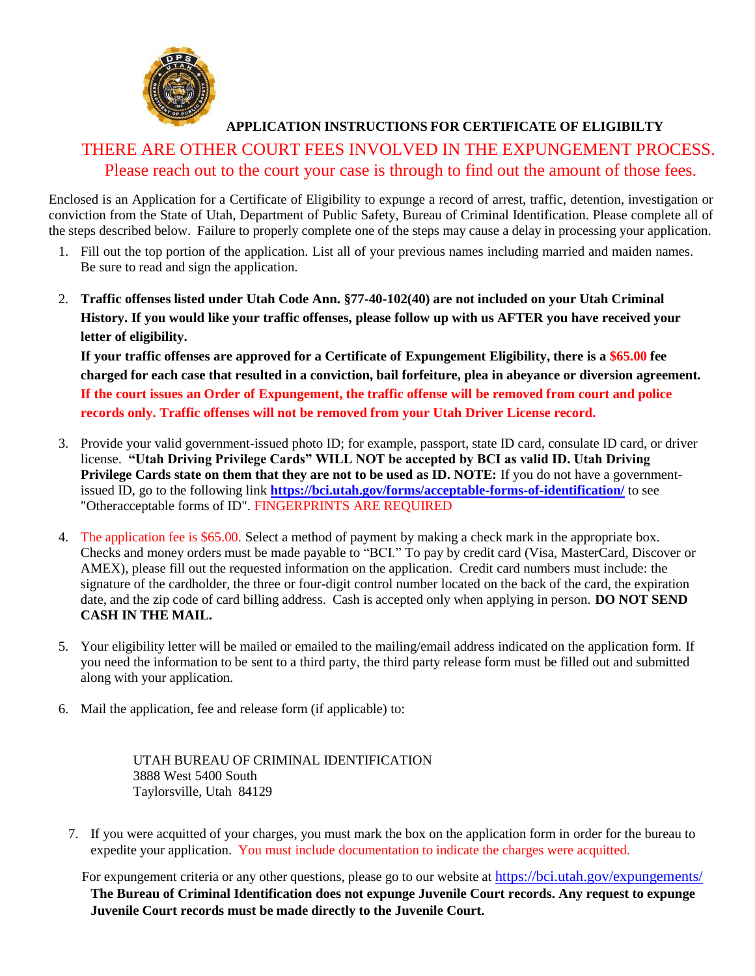

## **APPLICATION INSTRUCTIONS FOR CERTIFICATE OF ELIGIBILTY**

## THERE ARE OTHER COURT FEES INVOLVED IN THE EXPUNGEMENT PROCESS. Please reach out to the court your case is through to find out the amount of those fees.

Enclosed is an Application for a Certificate of Eligibility to expunge a record of arrest, traffic, detention, investigation or conviction from the State of Utah, Department of Public Safety, Bureau of Criminal Identification. Please complete all of the steps described below. Failure to properly complete one of the steps may cause a delay in processing your application.

- 1. Fill out the top portion of the application. List all of your previous names including married and maiden names. Be sure to read and sign the application.
- 2. **Traffic offenses listed under Utah Code Ann. §77-40-102(40) are not included on your Utah Criminal History. If you would like your traffic offenses, please follow up with us AFTER you have received your letter of eligibility.**

**If your traffic offenses are approved for a Certificate of Expungement Eligibility, there is a \$65.00 fee charged for each case that resulted in a conviction, bail forfeiture, plea in abeyance or diversion agreement. If the court issues an Order of Expungement, the traffic offense will be removed from court and police records only. Traffic offenses will not be removed from your Utah Driver License record.**

- 3. Provide your valid government-issued photo ID; for example, passport, state ID card, consulate ID card, or driver license. **"Utah Driving Privilege Cards" WILL NOT be accepted by BCI as valid ID. Utah Driving Privilege Cards state on them that they are not to be used as ID. NOTE:** If you do not have a governmentissued ID, go to the following link **<https://bci.utah.gov/forms/acceptable-forms-of-identification/>** to see "Otheracceptable forms of ID". FINGERPRINTS ARE REQUIRED
- 4. The application fee is \$65.00. Select a method of payment by making a check mark in the appropriate box. Checks and money orders must be made payable to "BCI." To pay by credit card (Visa, MasterCard, Discover or AMEX), please fill out the requested information on the application. Credit card numbers must include: the signature of the cardholder, the three or four-digit control number located on the back of the card, the expiration date, and the zip code of card billing address. Cash is accepted only when applying in person. **DO NOT SEND CASH IN THE MAIL.**
- 5. Your eligibility letter will be mailed or emailed to the mailing/email address indicated on the application form. If you need the information to be sent to a third party, the third party release form must be filled out and submitted along with your application.
- 6. Mail the application, fee and release form (if applicable) to:

UTAH BUREAU OF CRIMINAL IDENTIFICATION 3888 West 5400 South Taylorsville, Utah 84129

7. If you were acquitted of your charges, you must mark the box on the application form in order for the bureau to expedite your application. You must include documentation to indicate the charges were acquitted.

For expungement criteria or any other questions, please go to our website at https://bci.utah.gov/expungements/ **The Bureau of Criminal Identification does not expunge Juvenile Co[urt records. Any request to expunge](https://bci.utah.gov/expungements/) Juvenile Court records must be made directly to the Juvenile Court.**